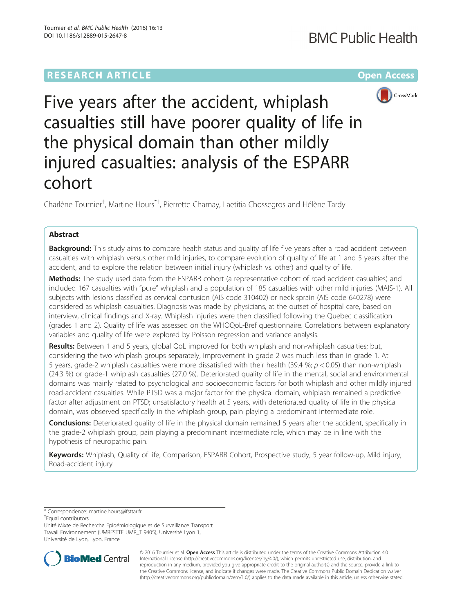# **RESEARCH ARTICLE Example 2014 12:30 The Community Community Community Community Community Community Community**



Five years after the accident, whiplash casualties still have poorer quality of life in the physical domain than other mildly injured casualties: analysis of the ESPARR cohort

Charlène Tournier<sup>†</sup>, Martine Hours<sup>\*†</sup>, Pierrette Charnay, Laetitia Chossegros and Hélène Tardy

## Abstract

Background: This study aims to compare health status and quality of life five years after a road accident between casualties with whiplash versus other mild injuries, to compare evolution of quality of life at 1 and 5 years after the accident, and to explore the relation between initial injury (whiplash vs. other) and quality of life.

Methods: The study used data from the ESPARR cohort (a representative cohort of road accident casualties) and included 167 casualties with "pure" whiplash and a population of 185 casualties with other mild injuries (MAIS-1). All subjects with lesions classified as cervical contusion (AIS code 310402) or neck sprain (AIS code 640278) were considered as whiplash casualties. Diagnosis was made by physicians, at the outset of hospital care, based on interview, clinical findings and X-ray. Whiplash injuries were then classified following the Quebec classification (grades 1 and 2). Quality of life was assessed on the WHOQoL-Bref questionnaire. Correlations between explanatory variables and quality of life were explored by Poisson regression and variance analysis.

Results: Between 1 and 5 years, global QoL improved for both whiplash and non-whiplash casualties; but, considering the two whiplash groups separately, improvement in grade 2 was much less than in grade 1. At 5 years, grade-2 whiplash casualties were more dissatisfied with their health (39.4 %;  $p < 0.05$ ) than non-whiplash (24.3 %) or grade-1 whiplash casualties (27.0 %). Deteriorated quality of life in the mental, social and environmental domains was mainly related to psychological and socioeconomic factors for both whiplash and other mildly injured road-accident casualties. While PTSD was a major factor for the physical domain, whiplash remained a predictive factor after adjustment on PTSD; unsatisfactory health at 5 years, with deteriorated quality of life in the physical domain, was observed specifically in the whiplash group, pain playing a predominant intermediate role.

**Conclusions:** Deteriorated quality of life in the physical domain remained 5 years after the accident, specifically in the grade-2 whiplash group, pain playing a predominant intermediate role, which may be in line with the hypothesis of neuropathic pain.

Keywords: Whiplash, Quality of life, Comparison, ESPARR Cohort, Prospective study, 5 year follow-up, Mild injury, Road-accident injury

\* Correspondence: [martine.hours@ifsttar.fr](mailto:martine.hours@ifsttar.fr) †

Equal contributors

Unité Mixte de Recherche Epidémiologique et de Surveillance Transport Travail Environnement (UMRESTTE UMR\_T 9405), Université Lyon 1, Université de Lyon, Lyon, France



© 2016 Tournier et al. Open Access This article is distributed under the terms of the Creative Commons Attribution 4.0 International License [\(http://creativecommons.org/licenses/by/4.0/](http://creativecommons.org/licenses/by/4.0/)), which permits unrestricted use, distribution, and reproduction in any medium, provided you give appropriate credit to the original author(s) and the source, provide a link to the Creative Commons license, and indicate if changes were made. The Creative Commons Public Domain Dedication waiver [\(http://creativecommons.org/publicdomain/zero/1.0/](http://creativecommons.org/publicdomain/zero/1.0/)) applies to the data made available in this article, unless otherwise stated.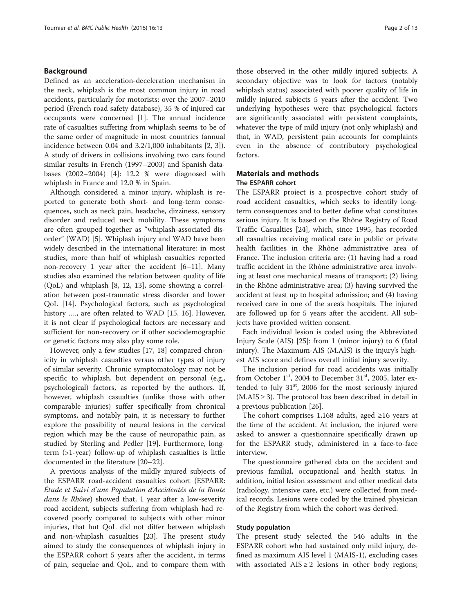### Background

Defined as an acceleration-deceleration mechanism in the neck, whiplash is the most common injury in road accidents, particularly for motorists: over the 2007–2010 period (French road safety database), 35 % of injured car occupants were concerned [\[1](#page-11-0)]. The annual incidence rate of casualties suffering from whiplash seems to be of the same order of magnitude in most countries (annual incidence between 0.04 and 3.2/1,000 inhabitants [[2, 3](#page-11-0)]). A study of drivers in collisions involving two cars found similar results in French (1997–2003) and Spanish databases (2002–2004) [[4\]](#page-11-0): 12.2 % were diagnosed with whiplash in France and 12.0 % in Spain.

Although considered a minor injury, whiplash is reported to generate both short- and long-term consequences, such as neck pain, headache, dizziness, sensory disorder and reduced neck mobility. These symptoms are often grouped together as "whiplash-associated disorder" (WAD) [\[5\]](#page-11-0). Whiplash injury and WAD have been widely described in the international literature: in most studies, more than half of whiplash casualties reported non-recovery 1 year after the accident [[6](#page-11-0)–[11](#page-11-0)]. Many studies also examined the relation between quality of life (QoL) and whiplash [[8, 12, 13](#page-11-0)], some showing a correlation between post-traumatic stress disorder and lower QoL [\[14](#page-11-0)]. Psychological factors, such as psychological history …., are often related to WAD [\[15](#page-11-0), [16\]](#page-11-0). However, it is not clear if psychological factors are necessary and sufficient for non-recovery or if other sociodemographic or genetic factors may also play some role.

However, only a few studies [\[17](#page-11-0), [18](#page-11-0)] compared chronicity in whiplash casualties versus other types of injury of similar severity. Chronic symptomatology may not be specific to whiplash, but dependent on personal (e.g., psychological) factors, as reported by the authors. If, however, whiplash casualties (unlike those with other comparable injuries) suffer specifically from chronical symptoms, and notably pain, it is necessary to further explore the possibility of neural lesions in the cervical region which may be the cause of neuropathic pain, as studied by Sterling and Pedler [[19](#page-11-0)]. Furthermore, longterm (>1-year) follow-up of whiplash casualties is little documented in the literature [[20](#page-11-0)–[22](#page-11-0)].

A previous analysis of the mildly injured subjects of the ESPARR road-accident casualties cohort (ESPARR: Étude et Suivi d'une Population d'Accidentés de la Route dans le Rhône) showed that, 1 year after a low-severity road accident, subjects suffering from whiplash had recovered poorly compared to subjects with other minor injuries, that but QoL did not differ between whiplash and non-whiplash casualties [\[23](#page-11-0)]. The present study aimed to study the consequences of whiplash injury in the ESPARR cohort 5 years after the accident, in terms of pain, sequelae and QoL, and to compare them with those observed in the other mildly injured subjects. A secondary objective was to look for factors (notably whiplash status) associated with poorer quality of life in mildly injured subjects 5 years after the accident. Two underlying hypotheses were that psychological factors are significantly associated with persistent complaints, whatever the type of mild injury (not only whiplash) and that, in WAD, persistent pain accounts for complaints even in the absence of contributory psychological factors.

# Materials and methods

### The ESPARR cohort

The ESPARR project is a prospective cohort study of road accident casualties, which seeks to identify longterm consequences and to better define what constitutes serious injury. It is based on the Rhône Registry of Road Traffic Casualties [\[24](#page-11-0)], which, since 1995, has recorded all casualties receiving medical care in public or private health facilities in the Rhône administrative area of France. The inclusion criteria are: (1) having had a road traffic accident in the Rhône administrative area involving at least one mechanical means of transport; (2) living in the Rhône administrative area; (3) having survived the accident at least up to hospital admission; and (4) having received care in one of the area's hospitals. The injured are followed up for 5 years after the accident. All subjects have provided written consent.

Each individual lesion is coded using the Abbreviated Injury Scale (AIS) [\[25](#page-11-0)]: from 1 (minor injury) to 6 (fatal injury). The Maximum-AIS (M.AIS) is the injury's highest AIS score and defines overall initial injury severity.

The inclusion period for road accidents was initially from October  $1<sup>st</sup>$ , 2004 to December 31<sup>st</sup>, 2005, later extended to July  $31<sup>st</sup>$ , 2006 for the most seriously injured  $(M.AIS \geq 3)$ . The protocol has been described in detail in a previous publication [[26](#page-11-0)].

The cohort comprises 1,168 adults, aged ≥16 years at the time of the accident. At inclusion, the injured were asked to answer a questionnaire specifically drawn up for the ESPARR study, administered in a face-to-face interview.

The questionnaire gathered data on the accident and previous familial, occupational and health status. In addition, initial lesion assessment and other medical data (radiology, intensive care, etc.) were collected from medical records. Lesions were coded by the trained physician of the Registry from which the cohort was derived.

### Study population

The present study selected the 546 adults in the ESPARR cohort who had sustained only mild injury, defined as maximum AIS level 1 (MAIS-1), excluding cases with associated  $AIS \geq 2$  lesions in other body regions;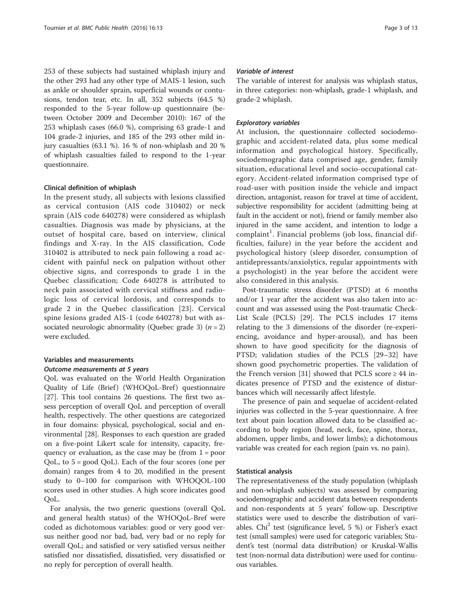253 of these subjects had sustained whiplash injury and the other 293 had any other type of MAIS-1 lesion, such as ankle or shoulder sprain, superficial wounds or contusions, tendon tear, etc. In all, 352 subjects (64.5 %) responded to the 5-year follow-up questionnaire (between October 2009 and December 2010): 167 of the 253 whiplash cases (66.0 %), comprising 63 grade-1 and 104 grade-2 injuries, and 185 of the 293 other mild injury casualties (63.1 %). 16 % of non-whiplash and 20 % of whiplash casualties failed to respond to the 1-year questionnaire.

### Clinical definition of whiplash

In the present study, all subjects with lesions classified as cervical contusion (AIS code 310402) or neck sprain (AIS code 640278) were considered as whiplash casualties. Diagnosis was made by physicians, at the outset of hospital care, based on interview, clinical findings and X-ray. In the AIS classification, Code 310402 is attributed to neck pain following a road accident with painful neck on palpation without other objective signs, and corresponds to grade 1 in the Quebec classification; Code 640278 is attributed to neck pain associated with cervical stiffness and radiologic loss of cervical lordosis, and corresponds to grade 2 in the Quebec classification [[23\]](#page-11-0). Cervical spine lesions graded AIS-1 (code 640278) but with associated neurologic abnormality (Quebec grade 3)  $(n = 2)$ were excluded.

# Variables and measurements

### Outcome measurements at 5 years

QoL was evaluated on the World Health Organization Quality of Life (Brief) (WHOQoL-Bref) questionnaire [[27\]](#page-11-0). This tool contains 26 questions. The first two assess perception of overall QoL and perception of overall health, respectively. The other questions are categorized in four domains: physical, psychological, social and environmental [\[28](#page-11-0)]. Responses to each question are graded on a five-point Likert scale for intensity, capacity, frequency or evaluation, as the case may be (from  $1 = poor$ QoL, to 5 = good QoL). Each of the four scores (one per domain) ranges from 4 to 20, modified in the present study to 0–100 for comparison with WHOQOL-100 scores used in other studies. A high score indicates good QoL.

For analysis, the two generic questions (overall QoL and general health status) of the WHOQoL-Bref were coded as dichotomous variables: good or very good versus neither good nor bad, bad, very bad or no reply for overall QoL; and satisfied or very satisfied versus neither satisfied nor dissatisfied, dissatisfied, very dissatisfied or no reply for perception of overall health.

### Variable of interest

The variable of interest for analysis was whiplash status, in three categories: non-whiplash, grade-1 whiplash, and grade-2 whiplash.

### Exploratory variables

At inclusion, the questionnaire collected sociodemographic and accident-related data, plus some medical information and psychological history. Specifically, sociodemographic data comprised age, gender, family situation, educational level and socio-occupational category. Accident-related information comprised type of road-user with position inside the vehicle and impact direction, antagonist, reason for travel at time of accident, subjective responsibility for accident (admitting being at fault in the accident or not), friend or family member also injured in the same accident, and intention to lodge a complaint<sup>1</sup>. Financial problems (job loss, financial difficulties, failure) in the year before the accident and psychological history (sleep disorder, consumption of antidepressants/anxiolytics, regular appointments with a psychologist) in the year before the accident were also considered in this analysis.

Post-traumatic stress disorder (PTSD) at 6 months and/or 1 year after the accident was also taken into account and was assessed using the Post-traumatic Check-List Scale (PCLS) [\[29](#page-11-0)]. The PCLS includes 17 items relating to the 3 dimensions of the disorder (re-experiencing, avoidance and hyper-arousal), and has been shown to have good specificity for the diagnosis of PTSD; validation studies of the PCLS [[29](#page-11-0)–[32](#page-11-0)] have shown good psychometric properties. The validation of the French version [[31\]](#page-11-0) showed that PCLS score  $\geq 44$  indicates presence of PTSD and the existence of disturbances which will necessarily affect lifestyle.

The presence of pain and sequelae of accident-related injuries was collected in the 5-year questionnaire. A free text about pain location allowed data to be classified according to body region (head, neck, face, spine, thorax, abdomen, upper limbs, and lower limbs); a dichotomous variable was created for each region (pain vs. no pain).

### Statistical analysis

The representativeness of the study population (whiplash and non-whiplash subjects) was assessed by comparing sociodemographic and accident data between respondents and non-respondents at 5 years' follow-up. Descriptive statistics were used to describe the distribution of variables. Chi<sup>2</sup> test (significance level, 5 %) or Fisher's exact test (small samples) were used for categoric variables; Student's test (normal data distribution) or Kruskal-Wallis test (non-normal data distribution) were used for continuous variables.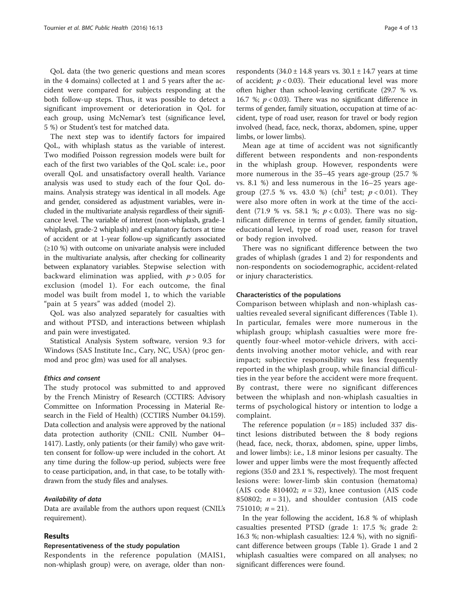QoL data (the two generic questions and mean scores in the 4 domains) collected at 1 and 5 years after the accident were compared for subjects responding at the both follow-up steps. Thus, it was possible to detect a significant improvement or deterioration in QoL for each group, using McNemar's test (significance level, 5 %) or Student's test for matched data.

The next step was to identify factors for impaired QoL, with whiplash status as the variable of interest. Two modified Poisson regression models were built for each of the first two variables of the QoL scale: i.e., poor overall QoL and unsatisfactory overall health. Variance analysis was used to study each of the four QoL domains. Analysis strategy was identical in all models. Age and gender, considered as adjustment variables, were included in the multivariate analysis regardless of their significance level. The variable of interest (non-whiplash, grade-1 whiplash, grade-2 whiplash) and explanatory factors at time of accident or at 1-year follow-up significantly associated (≥10 %) with outcome on univariate analysis were included in the multivariate analysis, after checking for collinearity between explanatory variables. Stepwise selection with backward elimination was applied, with  $p > 0.05$  for exclusion (model 1). For each outcome, the final model was built from model 1, to which the variable "pain at 5 years" was added (model 2).

QoL was also analyzed separately for casualties with and without PTSD, and interactions between whiplash and pain were investigated.

Statistical Analysis System software, version 9.3 for Windows (SAS Institute Inc., Cary, NC, USA) (proc genmod and proc glm) was used for all analyses.

### Ethics and consent

The study protocol was submitted to and approved by the French Ministry of Research (CCTIRS: Advisory Committee on Information Processing in Material Research in the Field of Health) (CCTIRS Number 04.159). Data collection and analysis were approved by the national data protection authority (CNIL: CNIL Number 04– 1417). Lastly, only patients (or their family) who gave written consent for follow-up were included in the cohort. At any time during the follow-up period, subjects were free to cease participation, and, in that case, to be totally withdrawn from the study files and analyses.

### Availability of data

Data are available from the authors upon request (CNIL's requirement).

### Results

#### Representativeness of the study population

Respondents in the reference population (MAIS1, non-whiplash group) were, on average, older than non-

respondents  $(34.0 \pm 14.8 \text{ years vs. } 30.1 \pm 14.7 \text{ years at time})$ of accident;  $p < 0.03$ ). Their educational level was more often higher than school-leaving certificate (29.7 % vs. 16.7 %;  $p < 0.03$ ). There was no significant difference in terms of gender, family situation, occupation at time of accident, type of road user, reason for travel or body region involved (head, face, neck, thorax, abdomen, spine, upper limbs, or lower limbs).

Mean age at time of accident was not significantly different between respondents and non-respondents in the whiplash group. However, respondents were more numerous in the 35–45 years age-group (25.7 % vs. 8.1 %) and less numerous in the 16–25 years agegroup (27.5 % vs. 43.0 %) (chi<sup>2</sup> test;  $p < 0.01$ ). They were also more often in work at the time of the accident (71.9 % vs. 58.1 %;  $p < 0.03$ ). There was no significant difference in terms of gender, family situation, educational level, type of road user, reason for travel or body region involved.

There was no significant difference between the two grades of whiplash (grades 1 and 2) for respondents and non-respondents on sociodemographic, accident-related or injury characteristics.

### Characteristics of the populations

Comparison between whiplash and non-whiplash casualties revealed several significant differences (Table [1](#page-4-0)). In particular, females were more numerous in the whiplash group; whiplash casualties were more frequently four-wheel motor-vehicle drivers, with accidents involving another motor vehicle, and with rear impact; subjective responsibility was less frequently reported in the whiplash group, while financial difficulties in the year before the accident were more frequent. By contrast, there were no significant differences between the whiplash and non-whiplash casualties in terms of psychological history or intention to lodge a complaint.

The reference population  $(n = 185)$  included 337 distinct lesions distributed between the 8 body regions (head, face, neck, thorax, abdomen, spine, upper limbs, and lower limbs): i.e., 1.8 minor lesions per casualty. The lower and upper limbs were the most frequently affected regions (35.0 and 23.1 %, respectively). The most frequent lesions were: lower-limb skin contusion (hematoma) (AIS code 810402;  $n = 32$ ), knee contusion (AIS code 850802;  $n = 31$ ), and shoulder contusion (AIS code 751010;  $n = 21$ ).

In the year following the accident, 16.8 % of whiplash casualties presented PTSD (grade 1: 17.5 %; grade 2: 16.3 %; non-whiplash casualties: 12.4 %), with no significant difference between groups (Table [1](#page-4-0)). Grade 1 and 2 whiplash casualties were compared on all analyses; no significant differences were found.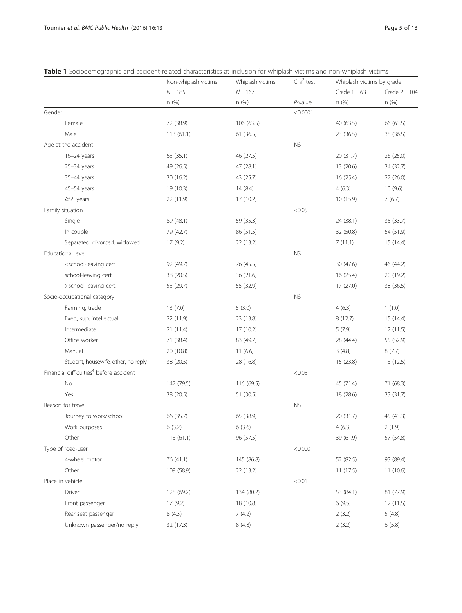<span id="page-4-0"></span>

|  | Table 1 Sociodemographic and accident-related characteristics at inclusion for whiplash victims and non-whiplash victims |  |  |  |  |  |
|--|--------------------------------------------------------------------------------------------------------------------------|--|--|--|--|--|
|--|--------------------------------------------------------------------------------------------------------------------------|--|--|--|--|--|

|                                                                                                                                    | Non-whiplash victims | Whiplash victims | Chi <sup>2</sup> test <sup>1</sup> | Whiplash victims by grade |                 |
|------------------------------------------------------------------------------------------------------------------------------------|----------------------|------------------|------------------------------------|---------------------------|-----------------|
|                                                                                                                                    | $N = 185$<br>n (%)   | $N = 167$        |                                    | Grade $1 = 63$            | Grade $2 = 104$ |
|                                                                                                                                    |                      | n (%)            | $P$ -value                         | n (%)                     | n (%)           |
| Gender                                                                                                                             |                      |                  | < 0.0001                           |                           |                 |
| Female                                                                                                                             | 72 (38.9)            | 106(63.5)        |                                    | 40 (63.5)                 | 66 (63.5)       |
| Male                                                                                                                               | 113(61.1)            | 61 (36.5)        |                                    | 23 (36.5)                 | 38 (36.5)       |
| Age at the accident                                                                                                                |                      |                  | <b>NS</b>                          |                           |                 |
| $16-24$ years                                                                                                                      | 65 (35.1)            | 46 (27.5)        |                                    | 20 (31.7)                 | 26 (25.0)       |
| $25-34$ years                                                                                                                      | 49 (26.5)            | 47 (28.1)        |                                    | 13 (20.6)                 | 34 (32.7)       |
| 35-44 years                                                                                                                        | 30 (16.2)            | 43 (25.7)        |                                    | 16 (25.4)                 | 27 (26.0)       |
| 45-54 years                                                                                                                        | 19 (10.3)            | 14(8.4)          |                                    | 4(6.3)                    | 10(9.6)         |
| $\geq$ 55 years                                                                                                                    | 22 (11.9)            | 17 (10.2)        |                                    | 10 (15.9)                 | 7(6.7)          |
| Family situation                                                                                                                   |                      |                  | < 0.05                             |                           |                 |
| Single                                                                                                                             | 89 (48.1)            | 59 (35.3)        |                                    | 24 (38.1)                 | 35 (33.7)       |
| In couple                                                                                                                          | 79 (42.7)            | 86 (51.5)        |                                    | 32 (50.8)                 | 54 (51.9)       |
| Separated, divorced, widowed                                                                                                       | 17 (9.2)             | 22 (13.2)        |                                    | 7(11.1)                   | 15 (14.4)       |
| Educational level                                                                                                                  |                      |                  | <b>NS</b>                          |                           |                 |
| <school-leaving cert.<="" td=""><td>92 (49.7)</td><td>76 (45.5)</td><td></td><td>30 (47.6)</td><td>46 (44.2)</td></school-leaving> | 92 (49.7)            | 76 (45.5)        |                                    | 30 (47.6)                 | 46 (44.2)       |
| school-leaving cert.                                                                                                               | 38 (20.5)            | 36 (21.6)        |                                    | 16 (25.4)                 | 20 (19.2)       |
| >school-leaving cert.                                                                                                              | 55 (29.7)            | 55 (32.9)        |                                    | 17(27.0)                  | 38 (36.5)       |
| Socio-occupational category                                                                                                        |                      |                  | <b>NS</b>                          |                           |                 |
| Farming, trade                                                                                                                     | 13(7.0)              | 5(3.0)           |                                    | 4(6.3)                    | 1(1.0)          |
| Exec., sup. intellectual                                                                                                           | 22 (11.9)            | 23 (13.8)        |                                    | 8(12.7)                   | 15 (14.4)       |
| Intermediate                                                                                                                       | 21 (11.4)            | 17 (10.2)        |                                    | 5(7.9)                    | 12 (11.5)       |
| Office worker                                                                                                                      | 71 (38.4)            | 83 (49.7)        |                                    | 28 (44.4)                 | 55 (52.9)       |
| Manual                                                                                                                             | 20 (10.8)            | 11(6.6)          |                                    | 3(4.8)                    | 8(7.7)          |
| Student, housewife, other, no reply                                                                                                | 38 (20.5)            | 28 (16.8)        |                                    | 15 (23.8)                 | 13 (12.5)       |
| Financial difficulties <sup>4</sup> before accident                                                                                |                      |                  | < 0.05                             |                           |                 |
| No                                                                                                                                 | 147 (79.5)           | 116 (69.5)       |                                    | 45 (71.4)                 | 71 (68.3)       |
| Yes                                                                                                                                | 38 (20.5)            | 51 (30.5)        |                                    | 18 (28.6)                 | 33 (31.7)       |
| Reason for travel                                                                                                                  |                      |                  | <b>NS</b>                          |                           |                 |
| Journey to work/school                                                                                                             | 66 (35.7)            | 65 (38.9)        |                                    | 20 (31.7)                 | 45 (43.3)       |
| Work purposes                                                                                                                      | 6(3.2)               | 6(3.6)           |                                    | 4(6.3)                    | 2(1.9)          |
| Other                                                                                                                              | 113 (61.1)           | 96 (57.5)        |                                    | 39 (61.9)                 | 57 (54.8)       |
| Type of road-user                                                                                                                  |                      |                  | < 0.0001                           |                           |                 |
| 4-wheel motor                                                                                                                      | 76 (41.1)            | 145 (86.8)       |                                    | 52 (82.5)                 | 93 (89.4)       |
| Other                                                                                                                              | 109 (58.9)           | 22 (13.2)        |                                    | 11(17.5)                  | 11(10.6)        |
| Place in vehicle                                                                                                                   |                      |                  | < 0.01                             |                           |                 |
| Driver                                                                                                                             | 128 (69.2)           | 134 (80.2)       |                                    | 53 (84.1)                 | 81 (77.9)       |
| Front passenger                                                                                                                    | 17 (9.2)             | 18 (10.8)        |                                    | 6(9.5)                    | 12(11.5)        |
| Rear seat passenger                                                                                                                | 8(4.3)               | 7(4.2)           |                                    | 2(3.2)                    | 5(4.8)          |
| Unknown passenger/no reply                                                                                                         | 32 (17.3)            | 8(4.8)           |                                    | 2(3.2)                    | 6(5.8)          |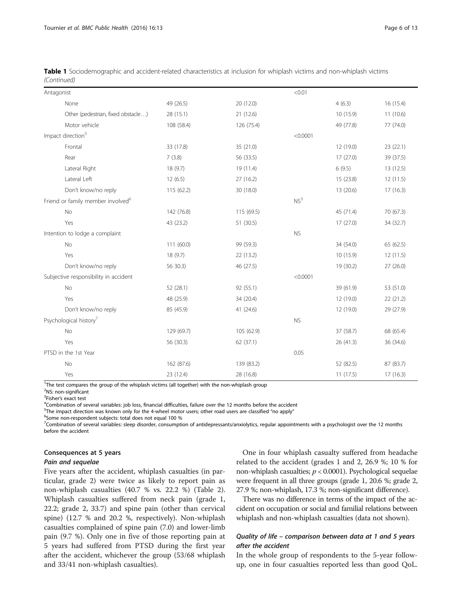| Antagonist                                    |            |            | < 0.01          |           |           |
|-----------------------------------------------|------------|------------|-----------------|-----------|-----------|
| None                                          | 49 (26.5)  | 20(12.0)   |                 | 4(6.3)    | 16 (15.4) |
| Other (pedestrian, fixed obstacle)            | 28 (15.1)  | 21(12.6)   |                 | 10(15.9)  | 11(10.6)  |
| Motor vehicle                                 | 108 (58.4) | 126 (75.4) |                 | 49 (77.8) | 77 (74.0) |
| Impact direction <sup>5</sup>                 |            |            | < 0.0001        |           |           |
| Frontal                                       | 33 (17.8)  | 35 (21.0)  |                 | 12 (19.0) | 23(22.1)  |
| Rear                                          | 7(3.8)     | 56 (33.5)  |                 | 17(27.0)  | 39 (37.5) |
| Lateral Right                                 | 18 (9.7)   | 19 (11.4)  |                 | 6(9.5)    | 13 (12.5) |
| Lateral Left                                  | 12(6.5)    | 27(16.2)   |                 | 15(23.8)  | 12(11.5)  |
| Don't know/no reply                           | 115 (62.2) | 30 (18.0)  |                 | 13 (20.6) | 17(16.3)  |
| Friend or family member involved <sup>6</sup> |            |            | NS <sup>3</sup> |           |           |
| No                                            | 142 (76.8) | 115 (69.5) |                 | 45 (71.4) | 70 (67.3) |
| Yes                                           | 43 (23.2)  | 51 (30.5)  |                 | 17(27.0)  | 34 (32.7) |
| Intention to lodge a complaint                |            |            | <b>NS</b>       |           |           |
| No                                            | 111 (60.0) | 99 (59.3)  |                 | 34 (54.0) | 65 (62.5) |
| Yes                                           | 18 (9.7)   | 22 (13.2)  |                 | 10 (15.9) | 12(11.5)  |
| Don't know/no reply                           | 56 30.3)   | 46 (27.5)  |                 | 19 (30.2) | 27 (26.0) |
| Subjective responsibility in accident         |            |            | < 0.0001        |           |           |
| No                                            | 52 (28.1)  | 92 (55.1)  |                 | 39 (61.9) | 53 (51.0) |
| Yes                                           | 48 (25.9)  | 34 (20.4)  |                 | 12 (19.0) | 22 (21.2) |
| Don't know/no reply                           | 85 (45.9)  | 41 (24.6)  |                 | 12 (19.0) | 29 (27.9) |
| Psychological history <sup>7</sup>            |            |            | <b>NS</b>       |           |           |
| <b>No</b>                                     | 129 (69.7) | 105 (62.9) |                 | 37 (58.7) | 68 (65.4) |
| Yes                                           | 56 (30.3)  | 62 (37.1)  |                 | 26 (41.3) | 36 (34.6) |
| PTSD in the 1st Year                          |            |            | 0.05            |           |           |
| No                                            | 162 (87.6) | 139 (83.2) |                 | 52 (82.5) | 87 (83.7) |
| Yes                                           | 23 (12.4)  | 28 (16.8)  |                 | 11(17.5)  | 17(16.3)  |

Table 1 Sociodemographic and accident-related characteristics at inclusion for whiplash victims and non-whiplash victims (Continued)

<sup>1</sup>The test compares the group of the whiplash victims (all together) with the non-whiplash group

<sup>2</sup>NS: non-significant

 $3$ Fisher's exact test<br> $4$ Combination of s

 $^4$ Combination of several variables: job loss, financial difficulties, failure over the 12 months before the accident

<sup>5</sup>The impact direction was known only for the 4-wheel motor users; other road users are classified "no apply"<br><sup>6</sup>Some non recpendent subjects: total does not equal 100 %

Some non-respondent subjects: total does not equal 100 %

7 Combination of several variables: sleep disorder, consumption of antidepressants/anxiolytics, regular appointments with a psychologist over the 12 months before the accident

### Consequences at 5 years

### Pain and sequelae

Five years after the accident, whiplash casualties (in particular, grade 2) were twice as likely to report pain as non-whiplash casualties (40.7 % vs. 22.2 %) (Table [2](#page-6-0)). Whiplash casualties suffered from neck pain (grade 1, 22.2; grade 2, 33.7) and spine pain (other than cervical spine) (12.7 % and 20.2 %, respectively). Non-whiplash casualties complained of spine pain (7.0) and lower-limb pain (9.7 %). Only one in five of those reporting pain at 5 years had suffered from PTSD during the first year after the accident, whichever the group (53/68 whiplash and 33/41 non-whiplash casualties).

One in four whiplash casualty suffered from headache related to the accident (grades 1 and 2, 26.9 %; 10 % for non-whiplash casualties;  $p < 0.0001$ ). Psychological sequelae were frequent in all three groups (grade 1, 20.6 %; grade 2, 27.9 %; non-whiplash, 17.3 %; non-significant difference).

There was no difference in terms of the impact of the accident on occupation or social and familial relations between whiplash and non-whiplash casualties (data not shown).

### Quality of life – comparison between data at 1 and 5 years after the accident

In the whole group of respondents to the 5-year followup, one in four casualties reported less than good QoL.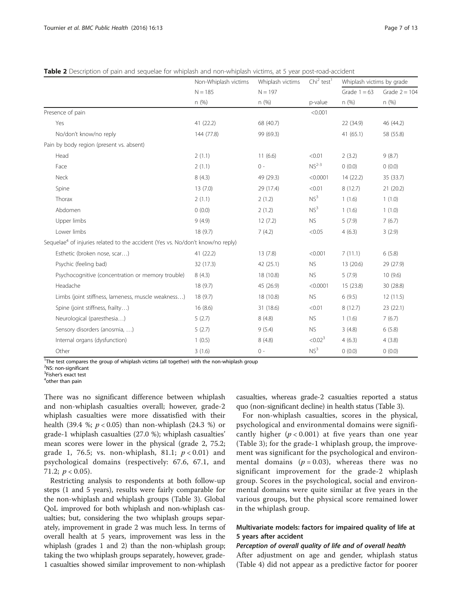|                                                                                            | Non-Whiplash victims | Whiplash victims | Chi <sup>2</sup> test <sup>1</sup> | Whiplash victims by grade |                 |
|--------------------------------------------------------------------------------------------|----------------------|------------------|------------------------------------|---------------------------|-----------------|
|                                                                                            | $N = 185$            | $N = 197$        |                                    | Grade $1 = 63$            | Grade $2 = 104$ |
|                                                                                            | n(%)                 | n(%)             | p-value                            | n(%)                      | n(%)            |
| Presence of pain                                                                           |                      |                  | < 0.001                            |                           |                 |
| Yes                                                                                        | 41 (22.2)            | 68 (40.7)        |                                    | 22 (34.9)                 | 46 (44.2)       |
| No/don't know/no reply                                                                     | 144 (77.8)           | 99 (69.3)        |                                    | 41(65.1)                  | 58 (55.8)       |
| Pain by body region (present vs. absent)                                                   |                      |                  |                                    |                           |                 |
| Head                                                                                       | 2(1.1)               | 11(6.6)          | < 0.01                             | 2(3.2)                    | 9(8.7)          |
| Face                                                                                       | 2(1.1)               | $0 -$            | $NS2-3$                            | 0(0.0)                    | (0.0)           |
| Neck                                                                                       | 8(4.3)               | 49 (29.3)        | < 0.0001                           | 14(22.2)                  | 35 (33.7)       |
| Spine                                                                                      | 13(7.0)              | 29 (17.4)        | < 0.01                             | 8(12.7)                   | 21(20.2)        |
| Thorax                                                                                     | 2(1.1)               | 2(1.2)           | NS <sup>3</sup>                    | 1(1.6)                    | 1(1.0)          |
| Abdomen                                                                                    | 0(0.0)               | 2(1.2)           | NS <sup>3</sup>                    | 1(1.6)                    | 1(1.0)          |
| Upper limbs                                                                                | 9(4.9)               | 12(7.2)          | <b>NS</b>                          | 5(7.9)                    | 7(6.7)          |
| Lower limbs                                                                                | 18 (9.7)             | 7(4.2)           | < 0.05                             | 4(6.3)                    | 3(2.9)          |
| Sequelae <sup>4</sup> of injuries related to the accident (Yes vs. No/don't know/no reply) |                      |                  |                                    |                           |                 |
| Esthetic (broken nose, scar)                                                               | 41 (22.2)            | 13(7.8)          | < 0.001                            | 7(11.1)                   | 6(5.8)          |
| Psychic (feeling bad)                                                                      | 32 (17.3)            | 42(25.1)         | <b>NS</b>                          | 13 (20.6)                 | 29 (27.9)       |
| Psychocognitive (concentration or memory trouble)                                          | 8(4.3)               | 18 (10.8)        | <b>NS</b>                          | 5(7.9)                    | 10(9.6)         |
| Headache                                                                                   | 18(9.7)              | 45 (26.9)        | < 0.0001                           | 15 (23.8)                 | 30 (28.8)       |
| Limbs (joint stiffness, lameness, muscle weakness)                                         | 18(9.7)              | 18 (10.8)        | <b>NS</b>                          | 6(9.5)                    | 12(11.5)        |
| Spine (joint stiffness, frailty)                                                           | 16(8.6)              | 31 (18.6)        | < 0.01                             | 8(12.7)                   | 23(22.1)        |
| Neurological (paresthesia)                                                                 | 5(2.7)               | 8(4.8)           | <b>NS</b>                          | 1(1.6)                    | 7(6.7)          |
| Sensory disorders (anosmia, )                                                              | 5(2.7)               | 9(5.4)           | <b>NS</b>                          | 3(4.8)                    | 6(5.8)          |
| Internal organs (dysfunction)                                                              | 1(0.5)               | 8(4.8)           | < 0.02 <sup>3</sup>                | 4(6.3)                    | 4(3.8)          |
| Other                                                                                      | 3(1.6)               | $0 -$            | NS <sup>3</sup>                    | 0(0.0)                    | 0(0.0)          |

<span id="page-6-0"></span>Table 2 Description of pain and sequelae for whiplash and non-whiplash victims, at 5 year post-road-accident

<sup>1</sup>The test compares the group of whiplash victims (all together) with the non-whiplash group

There was no significant difference between whiplash and non-whiplash casualties overall; however, grade-2 whiplash casualties were more dissatisfied with their health (39.4 %;  $p < 0.05$ ) than non-whiplash (24.3 %) or grade-1 whiplash casualties (27.0 %); whiplash casualties' mean scores were lower in the physical (grade 2, 75.2; grade 1, 76.5; vs. non-whiplash, 81.1;  $p < 0.01$ ) and psychological domains (respectively: 67.6, 67.1, and 71.2;  $p < 0.05$ ).

Restricting analysis to respondents at both follow-up steps (1 and 5 years), results were fairly comparable for the non-whiplash and whiplash groups (Table [3\)](#page-7-0). Global QoL improved for both whiplash and non-whiplash casualties; but, considering the two whiplash groups separately, improvement in grade 2 was much less. In terms of overall health at 5 years, improvement was less in the whiplash (grades 1 and 2) than the non-whiplash group; taking the two whiplash groups separately, however, grade-1 casualties showed similar improvement to non-whiplash

casualties, whereas grade-2 casualties reported a status quo (non-significant decline) in health status (Table [3](#page-7-0)).

For non-whiplash casualties, scores in the physical, psychological and environmental domains were significantly higher  $(p < 0.001)$  at five years than one year (Table [3](#page-7-0)); for the grade-1 whiplash group, the improvement was significant for the psychological and environmental domains ( $p = 0.03$ ), whereas there was no significant improvement for the grade-2 whiplash group. Scores in the psychological, social and environmental domains were quite similar at five years in the various groups, but the physical score remained lower in the whiplash group.

### Multivariate models: factors for impaired quality of life at 5 years after accident

### Perception of overall quality of life and of overall health

After adjustment on age and gender, whiplash status (Table [4](#page-8-0)) did not appear as a predictive factor for poorer

<sup>&</sup>lt;sup>2</sup>NS: non-significant

 $3$ Fisher's exact test<br> $4$ other than nain

 $4$ other than pain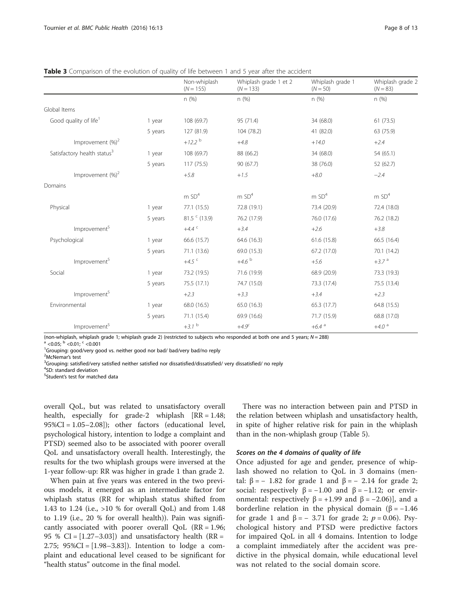### <span id="page-7-0"></span>**Table 3** Comparison of the evolution of quality of life between 1 and 5 year after the accident

|                                         |         | Non-whiplash<br>$(N = 155)$ | Whiplash grade 1 et 2<br>$(N = 133)$ | Whiplash grade 1<br>$(N = 50)$ | Whiplash grade 2<br>$(N = 83)$ |
|-----------------------------------------|---------|-----------------------------|--------------------------------------|--------------------------------|--------------------------------|
|                                         |         | n(%)                        | n(%)                                 | n(%)                           | n(%)                           |
| Global Items                            |         |                             |                                      |                                |                                |
| Good quality of life <sup>1</sup>       | 1 year  | 108 (69.7)                  | 95 (71.4)                            | 34 (68.0)                      | 61(73.5)                       |
|                                         | 5 years | 127 (81.9)                  | 104 (78.2)                           | 41 (82.0)                      | 63 (75.9)                      |
| Improvement $(\%)^2$                    |         | $+12.2^{b}$                 | $+4.8$                               | $+14.0$                        | $+2.4$                         |
| Satisfactory health status <sup>3</sup> | 1 year  | 108 (69.7)                  | 88 (66.2)                            | 34 (68.0)                      | 54(65.1)                       |
|                                         | 5 years | 117(75.5)                   | 90(67.7)                             | 38 (76.0)                      | 52 (62.7)                      |
| Improvement $(%)^2$                     |         | $+5.8$                      | $+1.5$                               | $+8.0$                         | $-2.4$                         |
| Domains                                 |         |                             |                                      |                                |                                |
|                                         |         | m SD <sup>4</sup>           | m SD <sup>4</sup>                    | m SD <sup>4</sup>              | m SD <sup>4</sup>              |
| Physical                                | 1 year  | 77.1 (15.5)                 | 72.8 (19.1)                          | 73.4 (20.9)                    | 72.4 (18.0)                    |
|                                         | 5 years | $81.5$ $\degree$ (13.9)     | 76.2 (17.9)                          | 76.0 (17.6)                    | 76.2 (18.2)                    |
| Improvement <sup>5</sup>                |         | $+4.4$ <sup>c</sup>         | $+3.4$                               | $+2.6$                         | $+3.8$                         |
| Psychological                           | 1 year  | 66.6 (15.7)                 | 64.6 (16.3)                          | 61.6(15.8)                     | 66.5 (16.4)                    |
|                                         | 5 years | 71.1 (13.6)                 | 69.0 (15.3)                          | 67.2 (17.0)                    | 70.1 (14.2)                    |
| Improvement <sup>5</sup>                |         | $+4.5$ <sup>c</sup>         | $+4.6^{b}$                           | $+5.6$                         | $+3.7^{a}$                     |
| Social                                  | 1 year  | 73.2 (19.5)                 | 71.6 (19.9)                          | 68.9 (20.9)                    | 73.3 (19.3)                    |
|                                         | 5 years | 75.5 (17.1)                 | 74.7 (15.0)                          | 73.3 (17.4)                    | 75.5 (13.4)                    |
| Improvement <sup>5</sup>                |         | $+2.3$                      | $+3.3$                               | $+3.4$                         | $+2.3$                         |
| Environmental                           | 1 year  | 68.0 (16.5)                 | 65.0(16.3)                           | 65.3 (17.7)                    | 64.8 (15.5)                    |
|                                         | 5 years | 71.1 (15.4)                 | 69.9 (16.6)                          | 71.7 (15.9)                    | 68.8 (17.0)                    |
| Improvement <sup>5</sup>                |         | $+3.1^{b}$                  | $+4.9^{c}$                           | $+6.4$ <sup>a</sup>            | $+4.0^{\circ}$                 |

(non-whiplash, whiplash grade 1; whiplash grade 2) (restricted to subjects who responded at both one and 5 years;  $N = 288$ )  $a < 0.05$ ;  $b < 0.01$ ; c  $\le 0.001$ 

 $^1$ Grouping: good/very good vs. neither good nor bad/ bad/very bad/no reply

<sup>2</sup>McNemar's test

<sup>3</sup>Grouping: satisfied/very satisfied neither satisfied nor dissatisfied/dissatisfied/ very dissatisfied/ no reply

<sup>4</sup>SD: standard deviation <sup>5</sup>Student's test for matched data

overall QoL, but was related to unsatisfactory overall health, especially for grade-2 whiplash [RR = 1.48;  $95\%CI = 1.05 - 2.08$ ]); other factors (educational level, psychological history, intention to lodge a complaint and PTSD) seemed also to be associated with poorer overall QoL and unsatisfactory overall health. Interestingly, the results for the two whiplash groups were inversed at the 1-year follow-up: RR was higher in grade 1 than grade 2.

When pain at five years was entered in the two previous models, it emerged as an intermediate factor for whiplash status (RR for whiplash status shifted from 1.43 to 1.24 (i.e., >10 % for overall QoL) and from 1.48 to 1.19 (i.e., 20 % for overall health)). Pain was significantly associated with poorer overall QoL (RR = 1.96; 95 % CI =  $[1.27-3.03]$ ) and unsatisfactory health (RR = 2.75; 95%CI = [1.98–3.83]). Intention to lodge a complaint and educational level ceased to be significant for "health status" outcome in the final model.

There was no interaction between pain and PTSD in the relation between whiplash and unsatisfactory health, in spite of higher relative risk for pain in the whiplash than in the non-whiplash group (Table [5](#page-8-0)).

### Scores on the 4 domains of quality of life

Once adjusted for age and gender, presence of whiplash showed no relation to QoL in 3 domains (mental:  $\beta$  = - 1.82 for grade 1 and  $\beta$  = - 2.14 for grade 2; social: respectively  $\beta = -1.00$  and  $\beta = -1.12$ ; or environmental: respectively  $\beta = +1.99$  and  $\beta = -2.06$ ), and a borderline relation in the physical domain (β =  $-1.46$ for grade 1 and  $β = -3.71$  for grade 2;  $p = 0.06$ ). Psychological history and PTSD were predictive factors for impaired QoL in all 4 domains. Intention to lodge a complaint immediately after the accident was predictive in the physical domain, while educational level was not related to the social domain score.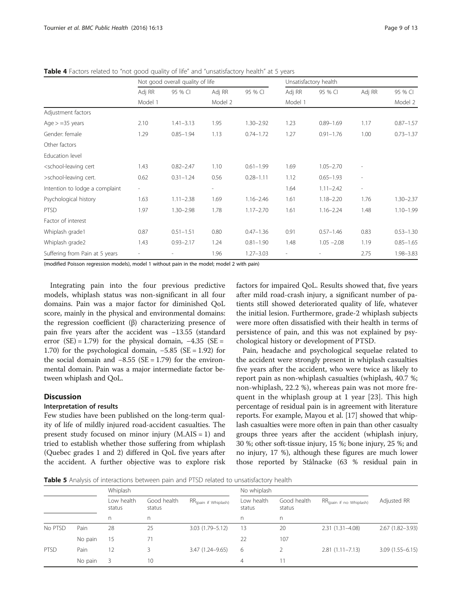|                                                                                                                                                                                                              |                          | Not good overall quality of life |                          |               |                          | Unsatisfactory health |                          |               |  |
|--------------------------------------------------------------------------------------------------------------------------------------------------------------------------------------------------------------|--------------------------|----------------------------------|--------------------------|---------------|--------------------------|-----------------------|--------------------------|---------------|--|
|                                                                                                                                                                                                              | Adj RR                   | 95 % CI                          | Adj RR                   | 95 % CI       | Adj RR                   | 95 % CI               | Adj RR                   | 95 % CI       |  |
|                                                                                                                                                                                                              | Model 1                  |                                  | Model 2                  |               | Model 1                  |                       |                          | Model 2       |  |
| Adjustment factors                                                                                                                                                                                           |                          |                                  |                          |               |                          |                       |                          |               |  |
| Age $> = 35$ years                                                                                                                                                                                           | 2.10                     | $1.41 - 3.13$                    | 1.95                     | $1.30 - 2.92$ | 1.23                     | $0.89 - 1.69$         | 1.17                     | $0.87 - 1.57$ |  |
| Gender: female                                                                                                                                                                                               | 1.29                     | $0.85 - 1.94$                    | 1.13                     | $0.74 - 1.72$ | 1.27                     | $0.91 - 1.76$         | 1.00                     | $0.73 - 1.37$ |  |
| Other factors                                                                                                                                                                                                |                          |                                  |                          |               |                          |                       |                          |               |  |
| Education level                                                                                                                                                                                              |                          |                                  |                          |               |                          |                       |                          |               |  |
| <school-leaving cert<="" td=""><td>1.43</td><td><math>0.82 - 2.47</math></td><td>1.10</td><td><math>0.61 - 1.99</math></td><td>1.69</td><td><math>1.05 - 2.70</math></td><td></td><td></td></school-leaving> | 1.43                     | $0.82 - 2.47$                    | 1.10                     | $0.61 - 1.99$ | 1.69                     | $1.05 - 2.70$         |                          |               |  |
| >school-leaving cert.                                                                                                                                                                                        | 0.62                     | $0.31 - 1.24$                    | 0.56                     | $0.28 - 1.11$ | 1.12                     | $0.65 - 1.93$         | $\overline{\phantom{a}}$ |               |  |
| Intention to lodge a complaint                                                                                                                                                                               | $\overline{\phantom{a}}$ |                                  | $\overline{\phantom{a}}$ |               | 1.64                     | $1.11 - 2.42$         | $\overline{\phantom{a}}$ |               |  |
| Psychological history                                                                                                                                                                                        | 1.63                     | $1.11 - 2.38$                    | 1.69                     | $1.16 - 2.46$ | 1.61                     | $1.18 - 2.20$         | 1.76                     | $1.30 - 2.37$ |  |
| <b>PTSD</b>                                                                                                                                                                                                  | 1.97                     | $1.30 - 2.98$                    | 1.78                     | $1.17 - 2.70$ | 1.61                     | $1.16 - 2.24$         | 1.48                     | $1.10 - 1.99$ |  |
| Factor of interest                                                                                                                                                                                           |                          |                                  |                          |               |                          |                       |                          |               |  |
| Whiplash grade1                                                                                                                                                                                              | 0.87                     | $0.51 - 1.51$                    | 0.80                     | $0.47 - 1.36$ | 0.91                     | $0.57 - 1.46$         | 0.83                     | $0.53 - 1.30$ |  |
| Whiplash grade2                                                                                                                                                                                              | 1.43                     | $0.93 - 2.17$                    | 1.24                     | $0.81 - 1.90$ | 1.48                     | $1.05 - 2.08$         | 1.19                     | $0.85 - 1.65$ |  |
| Suffering from Pain at 5 years                                                                                                                                                                               |                          |                                  | 1.96                     | $1.27 - 3.03$ | $\overline{\phantom{a}}$ |                       | 2.75                     | 1.98-3.83     |  |

<span id="page-8-0"></span>**Table 4** Factors related to "not good quality of life" and "unsatisfactory health" at 5 years

(modified Poisson regression models), model 1 without pain in the model; model 2 with pain)

Integrating pain into the four previous predictive models, whiplash status was non-significant in all four domains. Pain was a major factor for diminished QoL score, mainly in the physical and environmental domains: the regression coefficient (β) characterizing presence of pain five years after the accident was −13.55 (standard error  $(SE) = 1.79$ ) for the physical domain,  $-4.35$  (SE = 1.70) for the psychological domain,  $-5.85$  (SE = 1.92) for the social domain and  $-8.55$  (SE = 1.79) for the environmental domain. Pain was a major intermediate factor between whiplash and QoL.

### **Discussion**

### Interpretation of results

Few studies have been published on the long-term quality of life of mildly injured road-accident casualties. The present study focused on minor injury (M.AIS = 1) and tried to establish whether those suffering from whiplash (Quebec grades 1 and 2) differed in QoL five years after the accident. A further objective was to explore risk

factors for impaired QoL. Results showed that, five years after mild road-crash injury, a significant number of patients still showed deteriorated quality of life, whatever the initial lesion. Furthermore, grade-2 whiplash subjects were more often dissatisfied with their health in terms of persistence of pain, and this was not explained by psychological history or development of PTSD.

Pain, headache and psychological sequelae related to the accident were strongly present in whiplash casualties five years after the accident, who were twice as likely to report pain as non-whiplash casualties (whiplash, 40.7 %; non-whiplash, 22.2 %), whereas pain was not more frequent in the whiplash group at 1 year [[23\]](#page-11-0). This high percentage of residual pain is in agreement with literature reports. For example, Mayou et al. [\[17](#page-11-0)] showed that whiplash casualties were more often in pain than other casualty groups three years after the accident (whiplash injury, 30 %; other soft-tissue injury, 15 %; bone injury, 25 %; and no injury, 17 %), although these figures are much lower those reported by Stålnacke (63 % residual pain in

Table 5 Analysis of interactions between pain and PTSD related to unsatisfactory health

|             |         | Whiplash             |                       |                                  | No whiplash                     |                       |                                     |                     |  |
|-------------|---------|----------------------|-----------------------|----------------------------------|---------------------------------|-----------------------|-------------------------------------|---------------------|--|
|             |         | Low health<br>status | Good health<br>status | RR <sub>(pain if Whiplash)</sub> | Low health<br>status<br>n<br>n. | Good health<br>status | RR <sub>(pain</sub> if no Whiplash) | Adjusted RR         |  |
|             |         | n                    | n                     |                                  |                                 |                       |                                     |                     |  |
| No PTSD     | Pain    | 28                   | 25                    | $3.03(1.79 - 5.12)$              | 13                              | 20                    | $2.31(1.31 - 4.08)$                 | $2.67(1.82 - 3.93)$ |  |
|             | No pain | 15                   | 71                    |                                  | 22                              | 107                   |                                     |                     |  |
| <b>PTSD</b> | Pain    | 12                   |                       | $3.47(1.24 - 9.65)$              | 6                               |                       | $2.81(1.11 - 7.13)$                 | $3.09(1.55 - 6.15)$ |  |
|             | No pain | 3                    | 10                    |                                  | 4                               |                       |                                     |                     |  |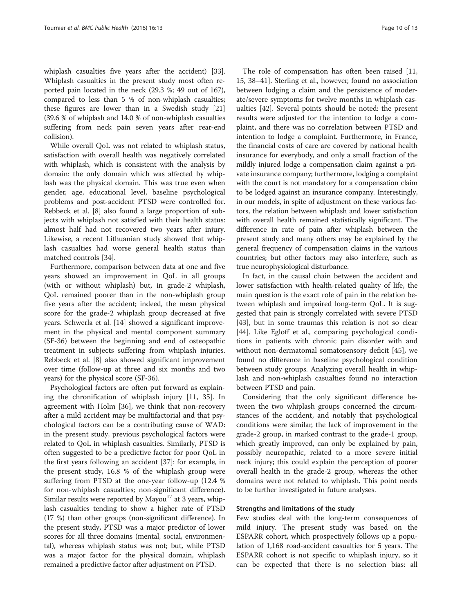whiplash casualties five years after the accident) [[33](#page-11-0)]. Whiplash casualties in the present study most often reported pain located in the neck (29.3 %; 49 out of 167), compared to less than 5 % of non-whiplash casualties; these figures are lower than in a Swedish study [[21](#page-11-0)] (39.6 % of whiplash and 14.0 % of non-whiplash casualties suffering from neck pain seven years after rear-end collision).

While overall QoL was not related to whiplash status, satisfaction with overall health was negatively correlated with whiplash, which is consistent with the analysis by domain: the only domain which was affected by whiplash was the physical domain. This was true even when gender, age, educational level, baseline psychological problems and post-accident PTSD were controlled for. Rebbeck et al. [\[8](#page-11-0)] also found a large proportion of subjects with whiplash not satisfied with their health status: almost half had not recovered two years after injury. Likewise, a recent Lithuanian study showed that whiplash casualties had worse general health status than matched controls [\[34\]](#page-11-0).

Furthermore, comparison between data at one and five years showed an improvement in QoL in all groups (with or without whiplash) but, in grade-2 whiplash, QoL remained poorer than in the non-whiplash group five years after the accident; indeed, the mean physical score for the grade-2 whiplash group decreased at five years. Schwerla et al. [[14](#page-11-0)] showed a significant improvement in the physical and mental component summary (SF-36) between the beginning and end of osteopathic treatment in subjects suffering from whiplash injuries. Rebbeck et al. [\[8](#page-11-0)] also showed significant improvement over time (follow-up at three and six months and two years) for the physical score (SF-36).

Psychological factors are often put forward as explaining the chronification of whiplash injury [[11](#page-11-0), [35\]](#page-11-0). In agreement with Holm [\[36\]](#page-11-0), we think that non-recovery after a mild accident may be multifactorial and that psychological factors can be a contributing cause of WAD: in the present study, previous psychological factors were related to QoL in whiplash casualties. Similarly, PTSD is often suggested to be a predictive factor for poor QoL in the first years following an accident [\[37\]](#page-11-0): for example, in the present study, 16.8 % of the whiplash group were suffering from PTSD at the one-year follow-up (12.4 % for non-whiplash casualties; non-significant difference). Similar results were reported by Mayou<sup>17</sup> at 3 years, whiplash casualties tending to show a higher rate of PTSD (17 %) than other groups (non-significant difference). In the present study, PTSD was a major predictor of lower scores for all three domains (mental, social, environmental), whereas whiplash status was not; but, while PTSD was a major factor for the physical domain, whiplash remained a predictive factor after adjustment on PTSD.

The role of compensation has often been raised [[11](#page-11-0), [15, 38](#page-11-0)–[41](#page-11-0)]. Sterling et al., however, found no association between lodging a claim and the persistence of moderate/severe symptoms for twelve months in whiplash casualties [[42\]](#page-11-0). Several points should be noted: the present results were adjusted for the intention to lodge a complaint, and there was no correlation between PTSD and intention to lodge a complaint. Furthermore, in France, the financial costs of care are covered by national health insurance for everybody, and only a small fraction of the mildly injured lodge a compensation claim against a private insurance company; furthermore, lodging a complaint with the court is not mandatory for a compensation claim to be lodged against an insurance company. Interestingly, in our models, in spite of adjustment on these various factors, the relation between whiplash and lower satisfaction with overall health remained statistically significant. The difference in rate of pain after whiplash between the present study and many others may be explained by the general frequency of compensation claims in the various countries; but other factors may also interfere, such as true neurophysiological disturbance.

In fact, in the causal chain between the accident and lower satisfaction with health-related quality of life, the main question is the exact role of pain in the relation between whiplash and impaired long-term QoL. It is suggested that pain is strongly correlated with severe PTSD [[43\]](#page-11-0), but in some traumas this relation is not so clear [[44\]](#page-12-0). Like Egloff et al., comparing psychological conditions in patients with chronic pain disorder with and without non-dermatomal somatosensory deficit [\[45](#page-12-0)], we found no difference in baseline psychological condition between study groups. Analyzing overall health in whiplash and non-whiplash casualties found no interaction between PTSD and pain.

Considering that the only significant difference between the two whiplash groups concerned the circumstances of the accident, and notably that psychological conditions were similar, the lack of improvement in the grade-2 group, in marked contrast to the grade-1 group, which greatly improved, can only be explained by pain, possibly neuropathic, related to a more severe initial neck injury; this could explain the perception of poorer overall health in the grade-2 group, whereas the other domains were not related to whiplash. This point needs to be further investigated in future analyses.

### Strengths and limitations of the study

Few studies deal with the long-term consequences of mild injury. The present study was based on the ESPARR cohort, which prospectively follows up a population of 1,168 road-accident casualties for 5 years. The ESPARR cohort is not specific to whiplash injury, so it can be expected that there is no selection bias: all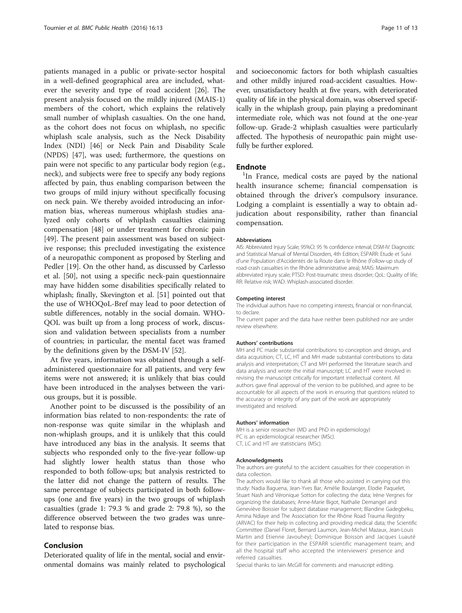patients managed in a public or private-sector hospital in a well-defined geographical area are included, whatever the severity and type of road accident [\[26\]](#page-11-0). The present analysis focused on the mildly injured (MAIS-1) members of the cohort, which explains the relatively small number of whiplash casualties. On the one hand, as the cohort does not focus on whiplash, no specific whiplash scale analysis, such as the Neck Disability Index (NDI) [\[46](#page-12-0)] or Neck Pain and Disability Scale (NPDS) [\[47](#page-12-0)], was used; furthermore, the questions on pain were not specific to any particular body region (e.g., neck), and subjects were free to specify any body regions affected by pain, thus enabling comparison between the two groups of mild injury without specifically focusing on neck pain. We thereby avoided introducing an information bias, whereas numerous whiplash studies analyzed only cohorts of whiplash casualties claiming compensation [[48\]](#page-12-0) or under treatment for chronic pain [[49\]](#page-12-0). The present pain assessment was based on subjective response; this precluded investigating the existence of a neuropathic component as proposed by Sterling and Pedler [[19\]](#page-11-0). On the other hand, as discussed by Carlesso et al. [[50\]](#page-12-0), not using a specific neck-pain questionnaire may have hidden some disabilities specifically related to whiplash; finally, Skevington et al. [[51](#page-12-0)] pointed out that the use of WHOQoL-Bref may lead to poor detection of subtle differences, notably in the social domain. WHO-QOL was built up from a long process of work, discussion and validation between specialists from a number of countries; in particular, the mental facet was framed by the definitions given by the DSM-IV [[52](#page-12-0)].

At five years, information was obtained through a selfadministered questionnaire for all patients, and very few items were not answered; it is unlikely that bias could have been introduced in the analyses between the various groups, but it is possible.

Another point to be discussed is the possibility of an information bias related to non-respondents: the rate of non-response was quite similar in the whiplash and non-whiplash groups, and it is unlikely that this could have introduced any bias in the analysis. It seems that subjects who responded only to the five-year follow-up had slightly lower health status than those who responded to both follow-ups; but analysis restricted to the latter did not change the pattern of results. The same percentage of subjects participated in both followups (one and five years) in the two groups of whiplash casualties (grade 1: 79.3 % and grade 2: 79.8 %), so the difference observed between the two grades was unrelated to response bias.

### Conclusion

Deteriorated quality of life in the mental, social and environmental domains was mainly related to psychological and socioeconomic factors for both whiplash casualties and other mildly injured road-accident casualties. However, unsatisfactory health at five years, with deteriorated quality of life in the physical domain, was observed specifically in the whiplash group, pain playing a predominant intermediate role, which was not found at the one-year follow-up. Grade-2 whiplash casualties were particularly affected. The hypothesis of neuropathic pain might usefully be further explored.

### **Endnote**

<sup>1</sup>In France, medical costs are payed by the national health insurance scheme; financial compensation is obtained through the driver's compulsory insurance. Lodging a complaint is essentially a way to obtain adjudication about responsibility, rather than financial compensation.

#### Abbreviations

AIS: Abbreviated Injury Scale; 95%CI: 95 % confidence interval; DSM-IV: Diagnostic and Statistical Manual of Mental Disorders, 4th Edition; ESPARR: Etude et Suivi d'une Population d'Accidentés de la Route dans le Rhône (Follow-up study of road-crash casualties in the Rhône administrative area); MAIS: Maximum abbreviated injury scale; PTSD: Post-traumatic stress disorder; QoL: Quality of life; RR: Relative risk; WAD: Whiplash-associated disorder.

#### Competing interest

The individual authors have no competing interests, financial or non-financial, to declare.

The current paper and the data have neither been published nor are under review elsewhere.

#### Authors' contributions

MH and PC made substantial contributions to conception and design, and data acquisition; CT, LC, HT and MH made substantial contributions to data analysis and interpretation; CT and MH performed the literature search and data analysis and wrote the initial manuscript; LC and HT were involved in revising the manuscript critically for important intellectual content. All authors gave final approval of the version to be published, and agree to be accountable for all aspects of the work in ensuring that questions related to the accuracy or integrity of any part of the work are appropriately investigated and resolved.

#### Authors' information

MH is a senior researcher (MD and PhD in epidemiology) PC is an epidemiological researcher (MSc). CT, LC and HT are statisticians (MSc).

#### Acknowledgments

The authors are grateful to the accident casualties for their cooperation in data collection.

The authors would like to thank all those who assisted in carrying out this study: Nadia Baguena, Jean-Yves Bar, Amélie Boulanger, Elodie Paquelet, Stuart Nash and Véronique Sotton for collecting the data; Irène Vergnes for organizing the databases; Anne-Marie Bigot, Nathalie Demangel and Geneviève Boissier for subject database management; Blandine Gadegbeku, Amina Ndiaye and The Association for the Rhône Road Trauma Registry (ARVAC) for their help in collecting and providing medical data; the Scientific Committee (Daniel Floret, Bernard Laumon, Jean-Michel Mazaux, Jean-Louis Martin and Etienne Javouhey); Dominique Boisson and Jacques Luauté for their participation in the ESPARR scientific management team; and all the hospital staff who accepted the interviewers' presence and referred casualties.

Special thanks to Iain McGill for comments and manuscript editing.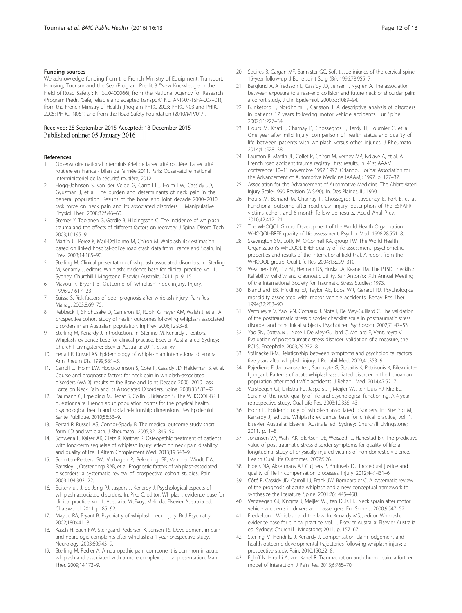#### <span id="page-11-0"></span>Funding sources

We acknowledge funding from the French Ministry of Equipment, Transport, Housing, Tourism and the Sea (Program Predit 3 "New Knowledge in the Field of Road Safety": N° SU0400066), from the National Agency for Research (Program Predit "Safe, reliable and adapted transport" No. ANR-07-TSFA-007–01), from the French Ministry of Health (Program PHRC 2003: PHRC-N03 and PHRC 2005: PHRC- N051) and from the Road Safety Foundation (2010/MP/01/).

### Received: 28 September 2015 Accepted: 18 December 2015 Published online: 05 January 2016

### References

- 1. Observatoire national interministériel de la sécurité routière. La sécurité routière en France - bilan de l'année 2011. Paris: Observatoire national interministériel de la sécurité routière; 2012.
- 2. Hogg-Johnson S, van der Velde G, Carroll LJ, Holm LW, Cassidy JD, Gyuzman J, et al. The burden and determinants of neck pain in the general population. Results of the bone and joint decade 2000–2010 task force on neck pain and its associated disorders. J Manipulative Physiol Ther. 2008;32:S46–60.
- Sterner Y, Toolanen G, Gerdle B, Hildingsson C. The incidence of whiplash trauma and the effects of different factors on recovery. J Spinal Disord Tech. 2003;16:195–9.
- 4. Martin JL, Perez K, Mari-Dell'olmo M, Chiron M. Whiplash risk estimation based on linked hospital-police road crash data from France and Spain. Inj Prev. 2008;14:185–90.
- 5. Sterling M. Clinical presentation of whiplash associated disorders. In: Sterling M, Kenardy J, editors. Whiplash: evidence base for clinical practice, vol. 1. Sydney: Churchill Livingstone: Elsevier Australia; 2011. p. 9–15.
- Mayou R, Bryant B. Outcome of 'whiplash' neck injury. Injury. 1996;27:617–23.
- 7. Suissa S. Risk factors of poor prognosis after whiplash injury. Pain Res Manag. 2003;8:69–75.
- 8. Rebbeck T, Sindhusake D, Cameron ID, Rubin G, Feyer AM, Walsh J, et al. A prospective cohort study of health outcomes following whiplash associated disorders in an Australian population. Inj Prev. 2006;12:93–8.
- Sterling M, Kenardy J. Introduction. In: Sterling M, Kenardy J, editors. Whiplash: evidence base for clinical practice. Elsevier Australia ed. Sydney: Churchill Livingstone: Elsevier Australia; 2011. p. xii–xv.
- 10. Ferrari R, Russel AS. Epidemiology of whiplash: an international dilemma. Ann Rheum Dis. 1999;58:1–5.
- 11. Carroll LJ, Holm LW, Hogg-Johnson S, Cote P, Cassidy JD, Haldeman S, et al. Course and prognostic factors for neck pain in whiplash-associated disorders (WAD): results of the Bone and Joint Decade 2000–2010 Task Force on Neck Pain and Its Associated Disorders. Spine. 2008;33:S83–92.
- 12. Baumann C, Erpelding M, Regat S, Collin J, Briancon S. The WHOQOL-BREF questionnaire: French adult population norms for the physical health, psychological health and social relationship dimensions. Rev Epidemiol Sante Publique. 2010;58:33–9.
- 13. Ferrari R, Russell AS, Connor-Spady B. The medical outcome study short form 6D and whiplash. J Rheumatol. 2005;32:1849–50.
- 14. Schwerla F, Kaiser AK, Gietz R, Kastner R. Osteopathic treatment of patients with long-term sequelae of whiplash injury: effect on neck pain disability and quality of life. J Altern Complement Med. 2013;19:543–9.
- 15. Scholten-Peeters GM, Verhagen P, Bekkering GE, Van der Windt DA, Barnsley L, Oostendorp RAB, et al. Prognostic factors of whiplash-associated discorders: a systematic review of prospective cohort studies. Pain. 2003;104:303–22.
- 16. Buitenhuis J, de Jong PJ, Jaspers J, Kenardy J. Psychological aspects of whiplash associated disorders. In: Pike C, editor. Whiplash: evidence base for clinical practice, vol. 1. Australia: McEvoy, Melinda: Elsevier Australia ed. Chatswood; 2011. p. 85–92.
- 17. Mayou RA, Bryant B. Psychiatry of whiplash neck injury. Br J Psychiatry. 2002;180:441–8.
- 18. Kasch H, Bach FW, Stengaard-Pedersen K, Jensen TS. Development in pain and neurologic complaints after whiplash: a 1-year prospective study. Neurology. 2003;60:743–9.
- 19. Sterling M, Pedler A. A neuropathic pain component is common in acute whiplash and associated with a more complex clinical presentation. Man Ther. 2009;14:173–9.
- 20. Squires B, Gargan MF, Bannister GC. Soft-tissue injuries of the cervical spine. 15-year follow-up. J Bone Joint Surg (Br). 1996;78:955–7.
- 21. Berglund A, Alfredsson L, Cassidy JD, Jensen I, Nygren A. The association between exposure to a rear-end collision and future neck or shoulder pain: a cohort study. J Clin Epidemiol. 2000;53:1089–94.
- 22. Bunketorp L, Nordholm L, Carlsson J. A descriptive analysis of disorders in patients 17 years following motor vehicle accidents. Eur Spine J. 2002;11:227–34.
- 23. Hours M, Khati I, Charnay P, Chossegros L, Tardy H, Tournier C, et al. One year after mild injury: comparison of health status and quality of life between patients with whiplash versus other injuries. J Rheumatol. 2014;41:528–38.
- 24. Laumon B, Martin JL, Collet P, Chiron M, Verney MP, Ndiaye A, et al. A French road accident trauma registry : first results. In: 41st AAAM conference: 10–11 novembre 1997 1997. Orlando, Florida: Association for the Advancement of Automotive Medicine (AAAM); 1997. p. 127–37.
- 25. Association for the Advancement of Automotive Medicine. The Abbreviated Injury Scale-1990 Revision (AIS-90). In. Des Plaines, IL; 1990.
- 26. Hours M, Bernard M, Charnay P, Chossegros L, Javouhey E, Fort E, et al. Functional outcome after road-crash injury: description of the ESPARR victims cohort and 6-month follow-up results. Accid Anal Prev. 2010;42:412–21.
- 27. The WHOQOL Group. Development of the World Health Organization WHOQOL-BREF quality of life assessment. Psychol Med. 1998;28:551–8.
- 28. Skevington SM, Lotfy M, O'Connell KA, group TW. The World Health Organization's WHOQOL-BREF quality of life assessment: psychometric properties and results of the international field trial. A report from the WHOQOL group. Qual Life Res. 2004;13:299–310.
- 29. Weathers FW, Litz BT, Herman DS, Huska JA, Keane TM. The PTSD checklist: Reliability, validity and diagnostic utility. San Antonio: IXth Annual Meeting of the International Society for Traumatic Stress Studies; 1993.
- 30. Blanchard EB, Hickling EJ, Taylor AE, Loos WR, Gerardi RJ. Psychological morbidity associated with motor vehicle accidents. Behav Res Ther. 1994;32:283–90.
- 31. Ventureyra V, Yao S-N, Cottraux J, Note I, De Mey-Guillard C. The validation of the posttraumatic stress disorder checklist scale in posttraumatic stress disorder and nonclinical subjects. Psychother Psychosom. 2002;71:47–53.
- 32. Yao SN, Cottraux J, Note I, De Mey-Guillard C, Mollard E, Ventureyra V. Evaluation of post-traumatic stress disorder: validation of a measure, the PCLS. Encéphale. 2003;29:232–8.
- 33. Stålnacke B-M. Relationship between symptoms and psychological factors five years after whiplash injury. J Rehabil Med. 2009;41:353–9.
- Pajediene E, Janusauskaite J, Samusyte G, Stasaitis K, Petrikonis K, Bileviciute-Ljungar I. Patterns of acute whiplash-associated disorder in the Lithuanian population after road traffic accidents. J Rehabil Med. 2014;47:52–7.
- 35. Versteegen GJ, Dijkstra PU, Jaspers JP, Meijler WJ, ten Duis HJ, Klip EC. Sprain of the neck: quality of life and psychological functioning. A 4-year retrospective study. Qual Life Res. 2003;12:335–43.
- 36. Holm L. Epidemiology of whiplash associated disorders. In: Sterling M, Kenardy J, editors. Whiplash: evidence base for clinical practice, vol. 1. Elsevier Australia: Elsevier Australia ed. Sydney: Churchill Livingstone; 2011. p. 1–8.
- 37. Johansen VA, Wahl AK, Eilertsen DE, Weisaeth L, Hanestad BR. The predictive value of post-traumatic stress disorder symptoms for quality of life: a longitudinal study of physically injured victims of non-domestic violence. Health Qual Life Outcomes. 2007;5:26.
- 38. Elbers NA, Akkermans AJ, Cuijpers P, Bruinvels DJ. Procedural justice and quality of life in compensation processes. Injury. 2012;44:1431–6.
- 39. Côté P, Cassidy JD, Carroll LJ, Frank JW, Bombardier C. A systematic review of the prognosis of acute whiplash and a new conceptual framework to synthesize the literature. Spine. 2001;26:E445–458.
- 40. Versteegen GJ, Kingma J, Meijler WJ, ten Duis HJ. Neck sprain after motor vehicle accidents in drivers and passengers. Eur Spine J. 2000;9:547–52.
- 41. Freckelton I. Whiplash and the law. In: Kenardy MSJ, editor. Whiplash: evidence base for clinical practice, vol. 1. Elsevier Australia: Elsevier Australia ed. Sydney: Churchill Livingstone; 2011. p. 157–67.
- 42. Sterling M, Hendrikz J, Kenardy J. Compensation claim lodgement and health outcome developmental trajectories following whiplash injury: a prospective study. Pain. 2010;150:22–8.
- 43. Egloff N, Hirschi A, von Kanel R. Traumatization and chronic pain: a further model of interaction. J Pain Res. 2013;6:765–70.